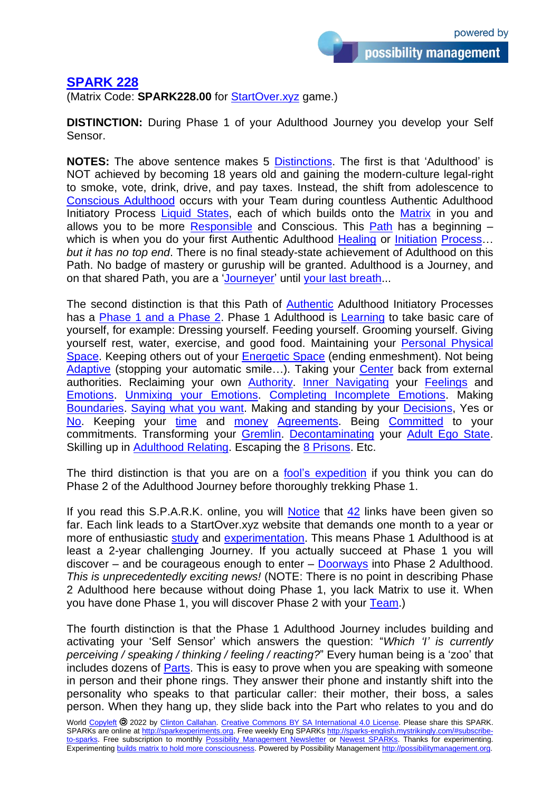## **[SPARK 228](https://sparks-english.mystrikingly.com/)**

(Matrix Code: **SPARK228.00** for [StartOver.xyz](http://startoverxyz.mystrikingly.com/) game.)

**DISTINCTION:** During Phase 1 of your Adulthood Journey you develop your Self Sensor.

**NOTES:** The above sentence makes 5 [Distinctions.](http://distinction.mystrikingly.com/) The first is that 'Adulthood' is NOT achieved by becoming 18 years old and gaining the modern-culture legal-right to smoke, vote, drink, drive, and pay taxes. Instead, the shift from adolescence to [Conscious](http://adulthood.mystrikingly.com/) Adulthood occurs with your Team during countless Authentic Adulthood Initiatory Process [Liquid States,](http://liquidstate.mystrikingly.com/) each of which builds onto the [Matrix](http://buildmatrix.mystrikingly.com/) in you and allows you to be more [Responsible](http://radicalresponsibility.mystrikingly.com/) and Conscious. This  $Path$  has a beginning  $-$ which is when you do your first Authentic Adulthood [Healing](http://3phasehealing.mystrikingly.com/) or [Initiation](http://initiations.mystrikingly.com/) Process... *but it has no top end*. There is no final steady-state achievement of Adulthood on this Path. No badge of mastery or guruship will be granted. Adulthood is a Journey, and on that shared Path, you are a ['Journeyer'](http://journeyer.mystrikingly.com/) until [your last breath.](http://4enemies.mystrikingly.com/)..

The second distinction is that this Path of [Authentic](http://becomeauthentic.mystrikingly.com/) Adulthood Initiatory Processes has a [Phase 1 and a Phase 2.](http://phase1phase2.mystrikingly.com/) Phase 1 Adulthood is [Learning](http://learningspiral.mystrikingly.com/) to take basic care of yourself, for example: Dressing yourself. Feeding yourself. Grooming yourself. Giving yourself rest, water, exercise, and good food. Maintaining your [Personal Physical](http://drala.mystrikingly.com/)  [Space.](http://drala.mystrikingly.com/) Keeping others out of your [Energetic](http://yourbubbleofspace.mystrikingly.com/) Space (ending enmeshment). Not being [Adaptive](http://beadaptive.mystrikingly.com/) (stopping your automatic smile...). Taking your [Center](http://becomecentered.mystrikingly.com/) back from external authorities. Reclaiming your own [Authority.](http://authority.mystrikingly.com/) [Inner Navigating](http://innernavigating.mystrikingly.com/) your [Feelings](http://4feelings.mystrikingly.com/) and [Emotions.](http://4emotions.mystrikingly.com/) [Unmixing your Emotions.](http://unmixemotions.mystrikingly.com/) [Completing Incomplete Emotions.](http://completeincompleteemotions.mystrikingly.com/) Making [Boundaries.](http://makeboundaries.mystrikingly.com/) [Saying what you want.](http://saywhatyouwant.mystrikingly.com/) Making and standing by your [Decisions,](http://deciding.mystrikingly.com/) Yes or [No.](http://sayno.mystrikingly.com/) Keeping your [time](http://maketime.mystrikingly.com/) and [money](http://becomemoney.mystrikingly.com/) [Agreements.](http://agreement.mystrikingly.com/) Being [Committed](http://becomecommitted.mystrikingly.com/) to your commitments. Transforming your [Gremlin.](http://gremlintransformation.mystrikingly.com/) [Decontaminating](http://decontaminations.mystrikingly.com/) your [Adult Ego State.](http://egostate.mystrikingly.com/) Skilling up in [Adulthood Relating.](http://evolutionofrelating.mystrikingly.com/) Escaping the [8 Prisons.](http://8prisons.mystrikingly.com/) Etc.

The third distinction is that you are on a [fool's expedition](https://www.youtube.com/watch?v=N9ge6cdDAxA) if you think you can do Phase 2 of the Adulthood Journey before thoroughly trekking Phase 1.

If you read this S.P.A.R.K. online, you will **Notice** that  $42$  links have been given so far. Each link leads to a StartOver.xyz website that demands one month to a year or more of enthusiastic [study](http://studygroup.mystrikingly.com/) and [experimentation.](http://becomeanexperimenter.mystrikingly.com/) This means Phase 1 Adulthood is at least a 2-year challenging Journey. If you actually succeed at Phase 1 you will discover – and be courageous enough to enter – [Doorways](http://doorway.mystrikingly.com/) into Phase 2 Adulthood. *This is unprecedentedly exciting news!* (NOTE: There is no point in describing Phase 2 Adulthood here because without doing Phase 1, you lack Matrix to use it. When you have done Phase 1, you will discover Phase 2 with your [Team.](http://yourteams.mystrikingly.com/))

The fourth distinction is that the Phase 1 Adulthood Journey includes building and activating your 'Self Sensor' which answers the question: "*Which 'I' is currently perceiving / speaking / thinking / feeling / reacting?*" Every human being is a 'zoo' that includes dozens of [Parts.](http://parts.mystrikingly.com/) This is easy to prove when you are speaking with someone in person and their phone rings. They answer their phone and instantly shift into the personality who speaks to that particular caller: their mother, their boss, a sales person. When they hang up, they slide back into the Part who relates to you and do